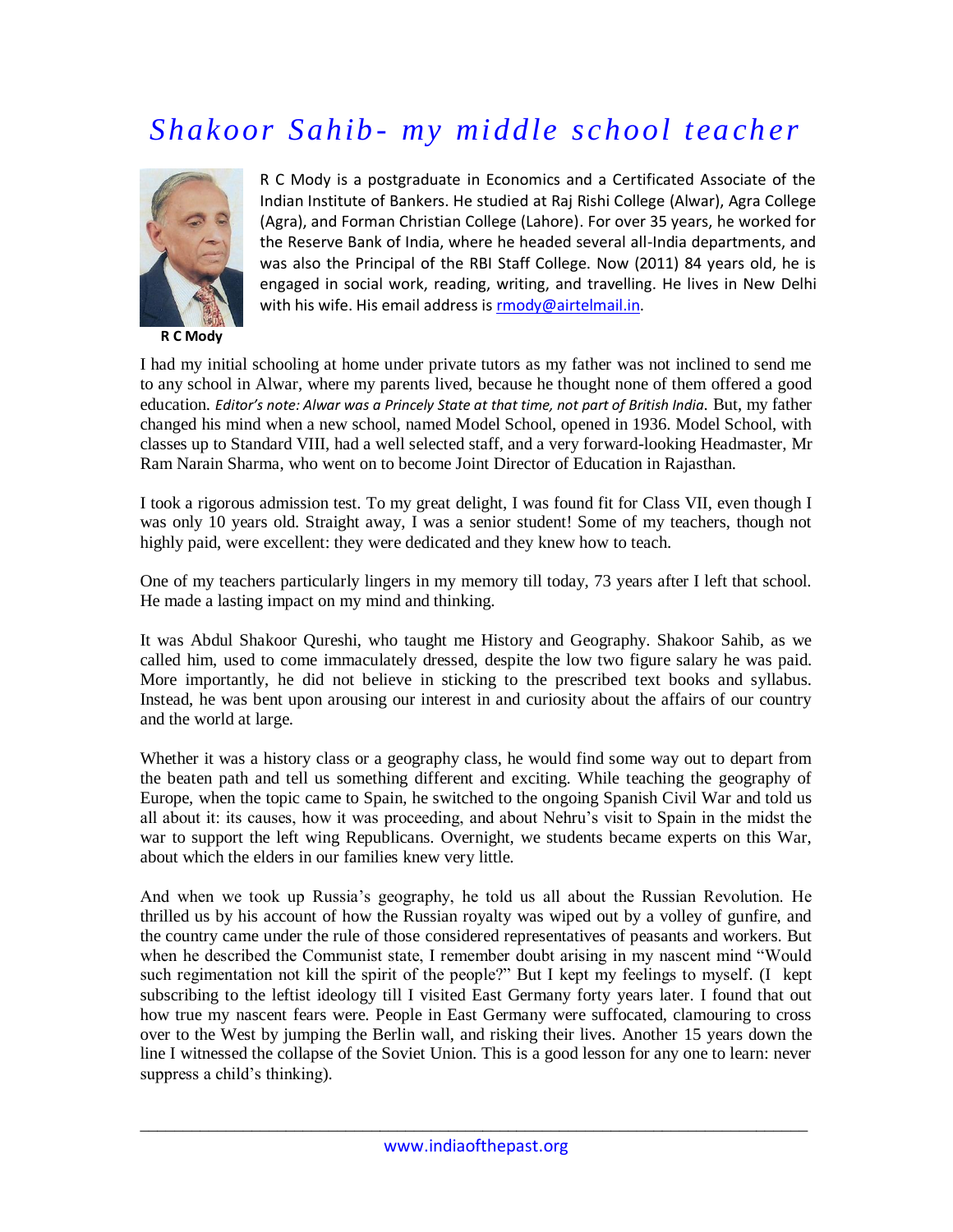## *Shakoor Sahib - my middle school teacher*



**R C Mody**

R C Mody is a postgraduate in Economics and a Certificated Associate of the Indian Institute of Bankers. He studied at Raj Rishi College (Alwar), Agra College (Agra), and Forman Christian College (Lahore). For over 35 years, he worked for the Reserve Bank of India, where he headed several all-India departments, and was also the Principal of the RBI Staff College. Now (2011) 84 years old, he is engaged in social work, reading, writing, and travelling. He lives in New Delhi with his wife. His email address i[s rmody@airtelmail.in.](mailto:rmody@airtelmail.in)

I had my initial schooling at home under private tutors as my father was not inclined to send me to any school in Alwar, where my parents lived, because he thought none of them offered a good education. *Editor's note: Alwar was a Princely State at that time, not part of British India.* But, my father changed his mind when a new school, named Model School, opened in 1936. Model School, with classes up to Standard VIII, had a well selected staff, and a very forward-looking Headmaster, Mr Ram Narain Sharma, who went on to become Joint Director of Education in Rajasthan.

I took a rigorous admission test. To my great delight, I was found fit for Class VII, even though I was only 10 years old. Straight away, I was a senior student! Some of my teachers, though not highly paid, were excellent: they were dedicated and they knew how to teach.

One of my teachers particularly lingers in my memory till today, 73 years after I left that school. He made a lasting impact on my mind and thinking.

It was Abdul Shakoor Qureshi, who taught me History and Geography. Shakoor Sahib, as we called him, used to come immaculately dressed, despite the low two figure salary he was paid. More importantly, he did not believe in sticking to the prescribed text books and syllabus. Instead, he was bent upon arousing our interest in and curiosity about the affairs of our country and the world at large.

Whether it was a history class or a geography class, he would find some way out to depart from the beaten path and tell us something different and exciting. While teaching the geography of Europe, when the topic came to Spain, he switched to the ongoing Spanish Civil War and told us all about it: its causes, how it was proceeding, and about Nehru's visit to Spain in the midst the war to support the left wing Republicans. Overnight, we students became experts on this War, about which the elders in our families knew very little.

And when we took up Russia's geography, he told us all about the Russian Revolution. He thrilled us by his account of how the Russian royalty was wiped out by a volley of gunfire, and the country came under the rule of those considered representatives of peasants and workers. But when he described the Communist state, I remember doubt arising in my nascent mind "Would such regimentation not kill the spirit of the people?" But I kept my feelings to myself. (I kept subscribing to the leftist ideology till I visited East Germany forty years later. I found that out how true my nascent fears were. People in East Germany were suffocated, clamouring to cross over to the West by jumping the Berlin wall, and risking their lives. Another 15 years down the line I witnessed the collapse of the Soviet Union. This is a good lesson for any one to learn: never suppress a child's thinking).